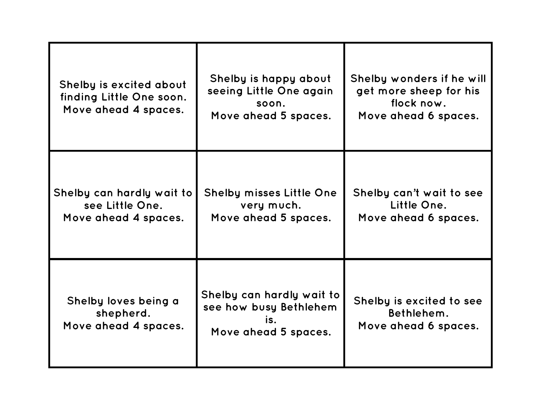| Shelby is excited about<br>finding Little One soon.<br>Move ahead 4 spaces. | Shelby is happy about<br>seeing Little One again<br>soon.<br>Move ahead 5 spaces.  | Shelby wonders if he will<br>get more sheep for his<br>flock now.<br>Move ahead 6 spaces. |
|-----------------------------------------------------------------------------|------------------------------------------------------------------------------------|-------------------------------------------------------------------------------------------|
| Shelby can hardly wait to<br>see Little One.<br>Move ahead 4 spaces.        | <b>Shelby misses Little One</b><br>very much.<br>Move ahead 5 spaces.              | Shelby can't wait to see<br>Little One.<br>Move ahead 6 spaces.                           |
| Shelby loves being a<br>shepherd.<br>Move ahead 4 spaces.                   | Shelby can hardly wait to<br>see how busy Bethlehem<br>is.<br>Move ahead 5 spaces. | Shelby is excited to see<br>Bethlehem.<br>Move ahead 6 spaces.                            |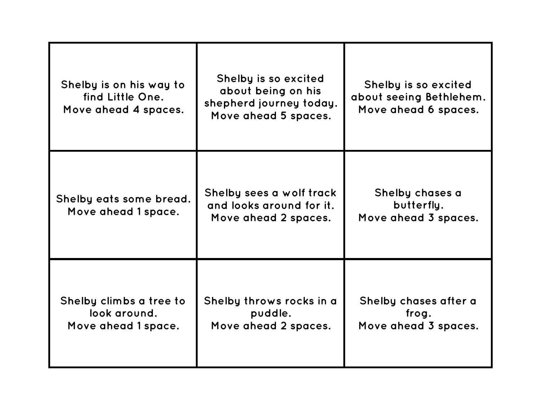| Shelby is on his way to<br>find Little One.<br>Move ahead 4 spaces. | Shelby is so excited<br>about being on his<br>shepherd journey today.<br>Move ahead 5 spaces. | Shelby is so excited<br>about seeing Bethlehem.<br>Move ahead 6 spaces. |
|---------------------------------------------------------------------|-----------------------------------------------------------------------------------------------|-------------------------------------------------------------------------|
| Shelby eats some bread.<br>Move ahead 1 space.                      | Shelby sees a wolf track<br>and looks around for it.<br>Move ahead 2 spaces.                  | Shelby chases a<br>butterfly.<br>Move ahead 3 spaces.                   |
| Shelby climbs a tree to<br>look around.<br>Move ahead 1 space.      | Shelby throws rocks in a<br>puddle.<br>Move ahead 2 spaces.                                   | Shelby chases after a<br>frog.<br>Move ahead 3 spaces.                  |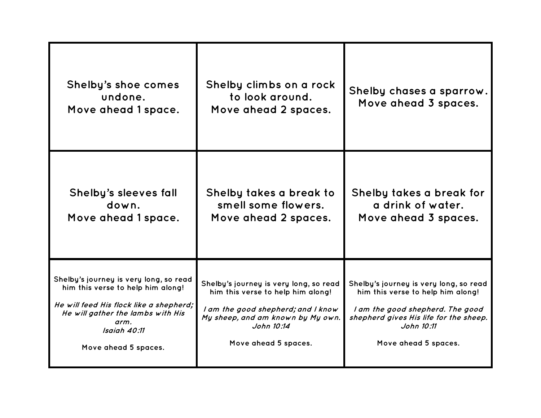| Shelby's shoe comes<br>undone.<br>Move ahead 1 space.                                                                                                                                                       | Shelby climbs on a rock<br>to look around.<br>Move ahead 2 spaces.                                                                                                                           | Shelby chases a sparrow.<br>Move ahead 3 spaces.                                                                                                                                                |
|-------------------------------------------------------------------------------------------------------------------------------------------------------------------------------------------------------------|----------------------------------------------------------------------------------------------------------------------------------------------------------------------------------------------|-------------------------------------------------------------------------------------------------------------------------------------------------------------------------------------------------|
| Shelby's sleeves fall<br>down.<br>Move ahead 1 space.                                                                                                                                                       | Shelby takes a break to<br>smell some flowers.<br>Move ahead 2 spaces.                                                                                                                       | Shelby takes a break for<br>a drink of water.<br>Move ahead 3 spaces.                                                                                                                           |
| Shelby's journey is very long, so read<br>him this verse to help him along!<br>He will feed His flock like a shepherd;<br>He will gather the lambs with His<br>arm.<br>Isaiah 40:11<br>Move ahead 5 spaces. | Shelby's journey is very long, so read<br>him this verse to help him along!<br>I am the good shepherd; and I know<br>My sheep, and am known by My own.<br>John 10:14<br>Move ahead 5 spaces. | Shelby's journey is very long, so read<br>him this verse to help him along!<br>I am the good shepherd. The good<br>shepherd gives His life for the sheep.<br>John 10:11<br>Move ahead 5 spaces. |